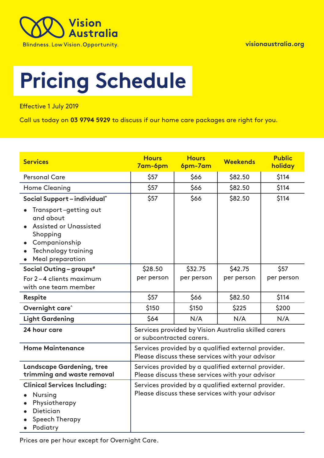

# **Pricing Schedule**

Effective 1 July 2019

Call us today on **03 9794 5929** to discuss if our home care packages are right for you.

| <b>Services</b>                                                                                                                 | <b>Hours</b><br>7am-6pm                                                                                | <b>Hours</b><br>6pm-7am | <b>Weekends</b>                                                                                        | <b>Public</b><br>holiday |
|---------------------------------------------------------------------------------------------------------------------------------|--------------------------------------------------------------------------------------------------------|-------------------------|--------------------------------------------------------------------------------------------------------|--------------------------|
| <b>Personal Care</b>                                                                                                            | \$57                                                                                                   | \$66                    | \$82.50                                                                                                | \$114                    |
| <b>Home Cleaning</b>                                                                                                            | \$57                                                                                                   | \$66                    | \$82.50                                                                                                | \$114                    |
| Social Support-individual*<br>Transport-getting out<br>and about<br><b>Assisted or Unassisted</b><br>Shopping<br>Companionship  | \$57                                                                                                   | \$66                    | \$82.50                                                                                                | \$114                    |
| <b>Technology training</b><br>Meal preparation<br>$\bullet$                                                                     |                                                                                                        |                         |                                                                                                        |                          |
| Social Outing - groups <sup>#</sup>                                                                                             | \$28.50                                                                                                | \$32.75                 | \$42.75                                                                                                | \$57                     |
| For 2-4 clients maximum<br>with one team member                                                                                 | per person                                                                                             | per person              | per person                                                                                             | per person               |
| Respite                                                                                                                         | \$57                                                                                                   | \$66                    | \$82.50                                                                                                | \$114                    |
| Overnight care <sup>^</sup>                                                                                                     | \$150                                                                                                  | \$150                   | \$225                                                                                                  | \$200                    |
| <b>Light Gardening</b>                                                                                                          | \$64                                                                                                   | N/A                     | N/A                                                                                                    | N/A                      |
| 24 hour care                                                                                                                    | Services provided by Vision Australia skilled carers<br>or subcontracted carers.                       |                         |                                                                                                        |                          |
| <b>Home Maintenance</b>                                                                                                         | Services provided by a qualified external provider.<br>Please discuss these services with your advisor |                         |                                                                                                        |                          |
| <b>Landscape Gardening, tree</b><br>trimming and waste removal                                                                  | Services provided by a qualified external provider.<br>Please discuss these services with your advisor |                         |                                                                                                        |                          |
| <b>Clinical Services Including:</b><br><b>Nursing</b><br>Physiotherapy<br><b>Dietician</b><br><b>Speech Therapy</b><br>Podiatry |                                                                                                        |                         | Services provided by a qualified external provider.<br>Please discuss these services with your advisor |                          |

Prices are per hour except for Overnight Care.